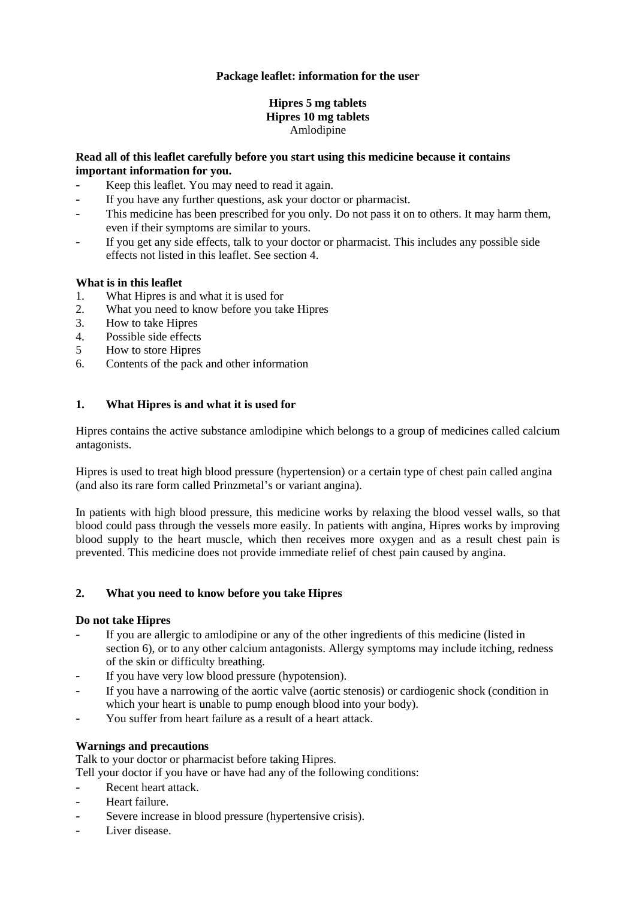# **Package leaflet: information for the user**

## **Hipres 5 mg tablets Hipres 10 mg tablets** Amlodipine

# **Read all of this leaflet carefully before you start using this medicine because it contains important information for you.**

- Keep this leaflet. You may need to read it again.
- If you have any further questions, ask your doctor or pharmacist.
- This medicine has been prescribed for you only. Do not pass it on to others. It may harm them, even if their symptoms are similar to yours.
- If you get any side effects, talk to your doctor or pharmacist. This includes any possible side effects not listed in this leaflet. See section 4.

# **What is in this leaflet**

- 1. What Hipres is and what it is used for
- 2. What you need to know before you take Hipres<br>3. How to take Hipres
- 3. How to take Hipres
- 4. Possible side effects
- 5 How to store Hipres
- 6. Contents of the pack and other information

# **1. What Hipres is and what it is used for**

Hipres contains the active substance amlodipine which belongs to a group of medicines called calcium antagonists.

Hipres is used to treat high blood pressure (hypertension) or a certain type of chest pain called angina (and also its rare form called Prinzmetal's or variant angina).

In patients with high blood pressure, this medicine works by relaxing the blood vessel walls, so that blood could pass through the vessels more easily. In patients with angina, Hipres works by improving blood supply to the heart muscle, which then receives more oxygen and as a result chest pain is prevented. This medicine does not provide immediate relief of chest pain caused by angina.

## **2. What you need to know before you take Hipres**

## **Do not take Hipres**

- If you are allergic to amlodipine or any of the other ingredients of this medicine (listed in section 6), or to any other calcium antagonists. Allergy symptoms may include itching, redness of the skin or difficulty breathing.
- If you have very low blood pressure (hypotension).
- If you have a narrowing of the aortic valve (aortic stenosis) or cardiogenic shock (condition in which your heart is unable to pump enough blood into your body).
- You suffer from heart failure as a result of a heart attack.

## **Warnings and precautions**

Talk to your doctor or pharmacist before taking Hipres.

Tell your doctor if you have or have had any of the following conditions:

- Recent heart attack.
- Heart failure.
- Severe increase in blood pressure (hypertensive crisis).
- Liver disease.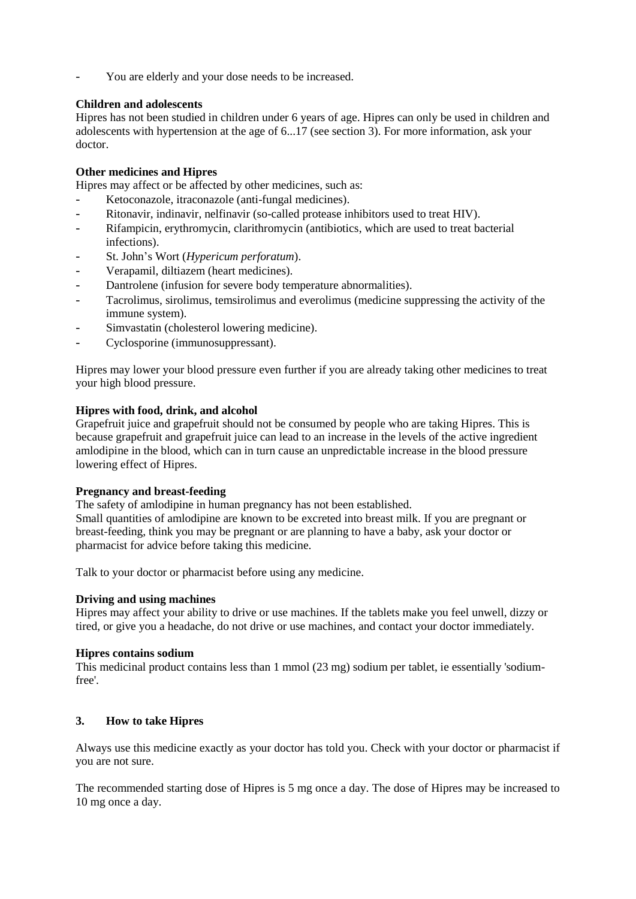You are elderly and your dose needs to be increased.

# **Children and adolescents**

Hipres has not been studied in children under 6 years of age. Hipres can only be used in children and adolescents with hypertension at the age of 6...17 (see section 3). For more information, ask your doctor.

# **Other medicines and Hipres**

Hipres may affect or be affected by other medicines, such as:

- Ketoconazole, itraconazole (anti-fungal medicines).
- Ritonavir, indinavir, nelfinavir (so-called protease inhibitors used to treat HIV).
- Rifampicin, erythromycin, clarithromycin (antibiotics, which are used to treat bacterial infections).
- St. John's Wort (*Hypericum perforatum*).
- Verapamil, diltiazem (heart medicines).
- Dantrolene (infusion for severe body temperature abnormalities).
- Tacrolimus, sirolimus, temsirolimus and everolimus (medicine suppressing the activity of the immune system).
- Simvastatin (cholesterol lowering medicine).
- Cyclosporine (immunosuppressant).

Hipres may lower your blood pressure even further if you are already taking other medicines to treat your high blood pressure.

# **Hipres with food, drink, and alcohol**

Grapefruit juice and grapefruit should not be consumed by people who are taking Hipres. This is because grapefruit and grapefruit juice can lead to an increase in the levels of the active ingredient amlodipine in the blood, which can in turn cause an unpredictable increase in the blood pressure lowering effect of Hipres.

## **Pregnancy and breast-feeding**

The safety of amlodipine in human pregnancy has not been established. Small quantities of amlodipine are known to be excreted into breast milk. If you are pregnant or breast-feeding, think you may be pregnant or are planning to have a baby, ask your doctor or pharmacist for advice before taking this medicine.

Talk to your doctor or pharmacist before using any medicine.

## **Driving and using machines**

Hipres may affect your ability to drive or use machines. If the tablets make you feel unwell, dizzy or tired, or give you a headache, do not drive or use machines, and contact your doctor immediately.

## **Hipres contains sodium**

This medicinal product contains less than 1 mmol (23 mg) sodium per tablet, ie essentially 'sodiumfree'.

# **3. How to take Hipres**

Always use this medicine exactly as your doctor has told you. Check with your doctor or pharmacist if you are not sure.

The recommended starting dose of Hipres is 5 mg once a day. The dose of Hipres may be increased to 10 mg once a day.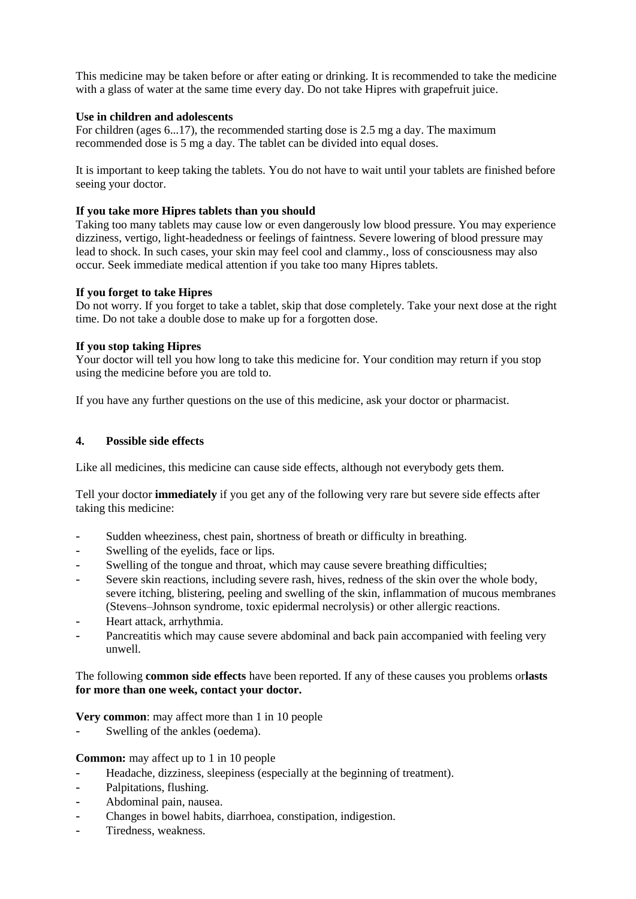This medicine may be taken before or after eating or drinking. It is recommended to take the medicine with a glass of water at the same time every day. Do not take Hipres with grapefruit juice.

### **Use in children and adolescents**

For children (ages 6...17), the recommended starting dose is 2.5 mg a day. The maximum recommended dose is 5 mg a day. The tablet can be divided into equal doses.

It is important to keep taking the tablets. You do not have to wait until your tablets are finished before seeing your doctor.

### **If you take more Hipres tablets than you should**

Taking too many tablets may cause low or even dangerously low blood pressure. You may experience dizziness, vertigo, light-headedness or feelings of faintness. Severe lowering of blood pressure may lead to shock. In such cases, your skin may feel cool and clammy., loss of consciousness may also occur. Seek immediate medical attention if you take too many Hipres tablets.

### **If you forget to take Hipres**

Do not worry. If you forget to take a tablet, skip that dose completely. Take your next dose at the right time. Do not take a double dose to make up for a forgotten dose.

### **If you stop taking Hipres**

Your doctor will tell you how long to take this medicine for. Your condition may return if you stop using the medicine before you are told to.

If you have any further questions on the use of this medicine, ask your doctor or pharmacist.

### **4. Possible side effects**

Like all medicines, this medicine can cause side effects, although not everybody gets them.

Tell your doctor **immediately** if you get any of the following very rare but severe side effects after taking this medicine:

- Sudden wheeziness, chest pain, shortness of breath or difficulty in breathing.
- Swelling of the eyelids, face or lips.
- Swelling of the tongue and throat, which may cause severe breathing difficulties;
- Severe skin reactions, including severe rash, hives, redness of the skin over the whole body, severe itching, blistering, peeling and swelling of the skin, inflammation of mucous membranes (Stevens–Johnson syndrome, toxic epidermal necrolysis) or other allergic reactions.
- Heart attack, arrhythmia.
- Pancreatitis which may cause severe abdominal and back pain accompanied with feeling very unwell.

## The following **common side effects** have been reported. If any of these causes you problems or**lasts for more than one week, contact your doctor.**

**Very common:** may affect more than 1 in 10 people

Swelling of the ankles (oedema).

**Common:** may affect up to 1 in 10 people

- Headache, dizziness, sleepiness (especially at the beginning of treatment).
- Palpitations, flushing.
- Abdominal pain, nausea.
- Changes in bowel habits, diarrhoea, constipation, indigestion.
- Tiredness, weakness.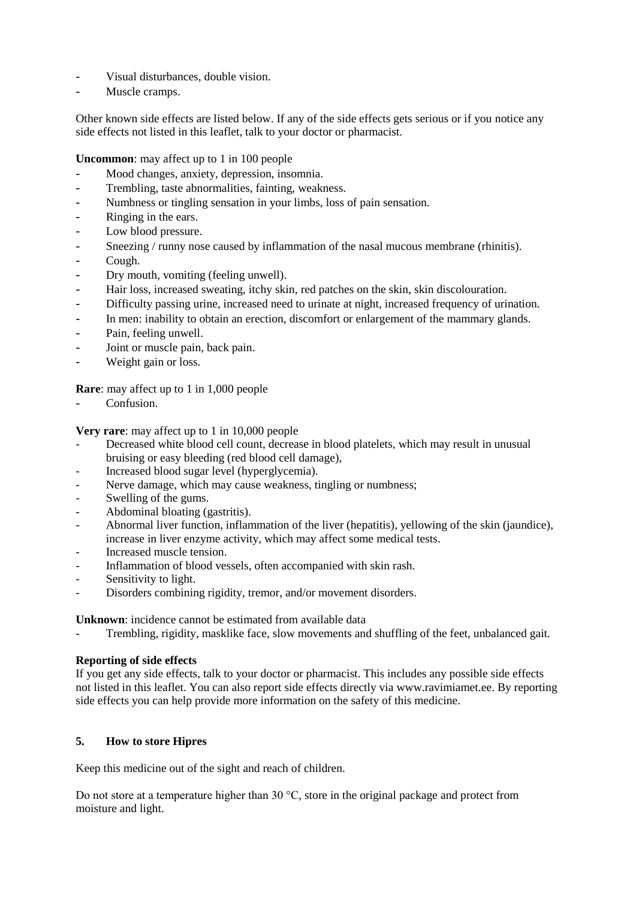- Visual disturbances, double vision.
- Muscle cramps.

Other known side effects are listed below. If any of the side effects gets serious or if you notice any side effects not listed in this leaflet, talk to your doctor or pharmacist.

**Uncommon**: may affect up to 1 in 100 people

- Mood changes, anxiety, depression, insomnia.
- Trembling, taste abnormalities, fainting, weakness.
- Numbness or tingling sensation in your limbs, loss of pain sensation.
- Ringing in the ears.
- Low blood pressure.
- Sneezing / runny nose caused by inflammation of the nasal mucous membrane (rhinitis).
- Cough.
- Dry mouth, vomiting (feeling unwell).
- Hair loss, increased sweating, itchy skin, red patches on the skin, skin discolouration.
- Difficulty passing urine, increased need to urinate at night, increased frequency of urination.
- In men: inability to obtain an erection, discomfort or enlargement of the mammary glands.
- Pain, feeling unwell.
- Joint or muscle pain, back pain.
- Weight gain or loss.

**Rare**: may affect up to 1 in 1,000 people

Confusion.

**Very rare**: may affect up to 1 in 10,000 people

- Decreased white blood cell count, decrease in blood platelets, which may result in unusual bruising or easy bleeding (red blood cell damage),
- Increased blood sugar level (hyperglycemia).
- Nerve damage, which may cause weakness, tingling or numbness;
- Swelling of the gums.
- Abdominal bloating (gastritis).
- Abnormal liver function, inflammation of the liver (hepatitis), yellowing of the skin (jaundice), increase in liver enzyme activity, which may affect some medical tests.
- Increased muscle tension.
- Inflammation of blood vessels, often accompanied with skin rash.
- Sensitivity to light.
- Disorders combining rigidity, tremor, and/or movement disorders.

**Unknown**: incidence cannot be estimated from available data

Trembling, rigidity, masklike face, slow movements and shuffling of the feet, unbalanced gait.

## **Reporting of side effects**

If you get any side effects, talk to your doctor or pharmacist. This includes any possible side effects not listed in this leaflet. You can also report side effects directly via www.ravimiamet.ee. By reporting side effects you can help provide more information on the safety of this medicine.

# **5. How to store Hipres**

Keep this medicine out of the sight and reach of children.

Do not store at a temperature higher than 30 °C, store in the original package and protect from moisture and light.